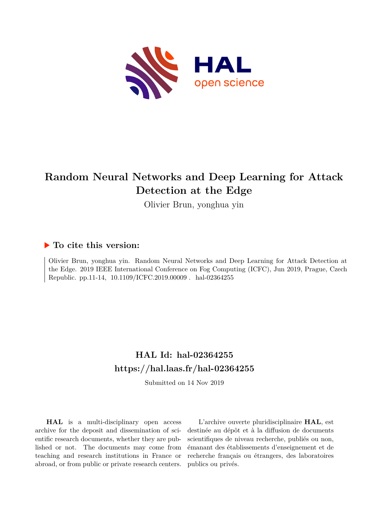

## **Random Neural Networks and Deep Learning for Attack Detection at the Edge**

Olivier Brun, yonghua yin

### **To cite this version:**

Olivier Brun, yonghua yin. Random Neural Networks and Deep Learning for Attack Detection at the Edge. 2019 IEEE International Conference on Fog Computing (ICFC), Jun 2019, Prague, Czech Republic. pp.11-14,  $10.1109/ICFC.2019.00009$ . hal-02364255

## **HAL Id: hal-02364255 <https://hal.laas.fr/hal-02364255>**

Submitted on 14 Nov 2019

**HAL** is a multi-disciplinary open access archive for the deposit and dissemination of scientific research documents, whether they are published or not. The documents may come from teaching and research institutions in France or abroad, or from public or private research centers.

L'archive ouverte pluridisciplinaire **HAL**, est destinée au dépôt et à la diffusion de documents scientifiques de niveau recherche, publiés ou non, émanant des établissements d'enseignement et de recherche français ou étrangers, des laboratoires publics ou privés.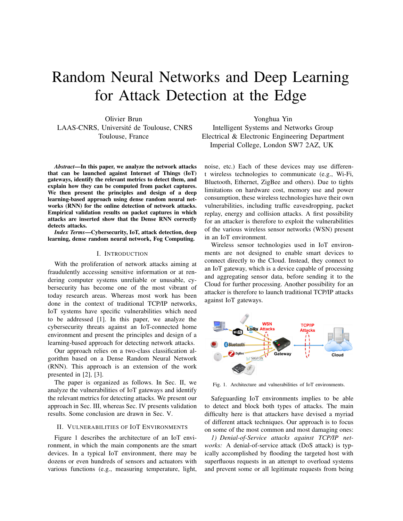# Random Neural Networks and Deep Learning for Attack Detection at the Edge

Olivier Brun LAAS-CNRS, Université de Toulouse, CNRS Toulouse, France

*Abstract***—In this paper, we analyze the network attacks that can be launched against Internet of Things (IoT) gateways, identify the relevant metrics to detect them, and explain how they can be computed from packet captures. We then present the principles and design of a deep learning-based approach using dense random neural networks (RNN) for the online detection of network attacks. Empirical validation results on packet captures in which attacks are inserted show that the Dense RNN correctly detects attacks.**

*Index Terms***—Cybersecurity, IoT, attack detection, deep learning, dense random neural network, Fog Computing.**

#### I. INTRODUCTION

With the proliferation of network attacks aiming at fraudulently accessing sensitive information or at rendering computer systems unreliable or unusable, cybersecurity has become one of the most vibrant of today research areas. Whereas most work has been done in the context of traditional TCP/IP networks, IoT systems have specific vulnerabilities which need to be addressed [1]. In this paper, we analyze the cybersecurity threats against an IoT-connected home environment and present the principles and design of a learning-based approach for detecting network attacks.

Our approach relies on a two-class classification algorithm based on a Dense Random Neural Network (RNN). This approach is an extension of the work presented in [2], [3].

The paper is organized as follows. In Sec. II, we analyze the vulnerabilities of IoT gateways and identify the relevant metrics for detecting attacks. We present our approach in Sec. III, whereas Sec. IV presents validation results. Some conclusion are drawn in Sec. V.

#### II. VULNERABILITIES OF IOT ENVIRONMENTS

Figure 1 describes the architecture of an IoT environment, in which the main components are the smart devices. In a typical IoT environment, there may be dozens or even hundreds of sensors and actuators with various functions (e.g., measuring temperature, light,

Yonghua Yin Intelligent Systems and Networks Group Electrical & Electronic Engineering Department Imperial College, London SW7 2AZ, UK

noise, etc.) Each of these devices may use different wireless technologies to communicate (e.g., Wi-Fi, Bluetooth, Ethernet, ZigBee and others). Due to tights limitations on hardware cost, memory use and power consumption, these wireless technologies have their own vulnerabilities, including traffic eavesdropping, packet replay, energy and collision attacks. A first possibility for an attacker is therefore to exploit the vulnerabilities of the various wireless sensor networks (WSN) present in an IoT environment.

Wireless sensor technologies used in IoT environments are not designed to enable smart devices to connect directly to the Cloud. Instead, they connect to an IoT gateway, which is a device capable of processing and aggregating sensor data, before sending it to the Cloud for further processing. Another possibility for an attacker is therefore to launch traditional TCP/IP attacks against IoT gateways.



Fig. 1. Architecture and vulnerabilities of IoT environments.

Safeguarding IoT environments implies to be able to detect and block both types of attacks. The main difficulty here is that attackers have devised a myriad of different attack techniques. Our approach is to focus on some of the most common and most damaging ones:

*1) Denial-of-Service attacks against TCP/IP networks:* A denial-of-service attack (DoS attack) is typically accomplished by flooding the targeted host with superfluous requests in an attempt to overload systems and prevent some or all legitimate requests from being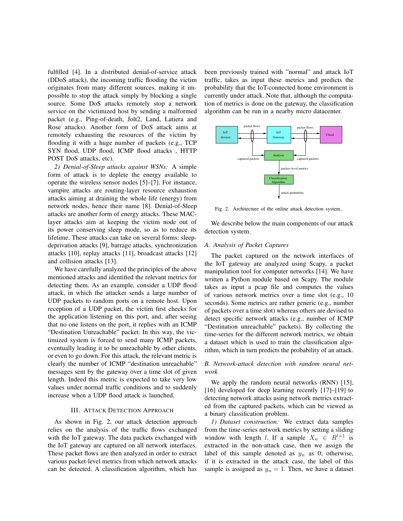fulfilled [4]. In a distributed denial-of-service attack (DDoS attack), the incoming traffic flooding the victim originates from many different sources, making it impossible to stop the attack simply by blocking a single source. Some DoS attacks remotely stop a network service on the victimized host by sending a malformed packet (e.g., Ping-of-death, Jolt2, Land, Latiera and Rose attacks). Another form of DoS attack aims at remotely exhausting the resources of the victim by flooding it with a huge number of packets (e.g., TCP SYN flood, UDP flood, ICMP flood attacks , HTTP POST DoS attacks, etc).

*2) Denial-of-Sleep attacks against WSNs:* A simple form of attack is to deplete the energy available to operate the wireless sensor nodes [5]–[7]. For instance, vampire attacks are routing-layer resource exhaustion attacks aiming at draining the whole life (energy) from network nodes, hence their name [8]. Denial-of-Sleep attacks are another form of energy attacks. These MAClayer attacks aim at keeping the victim node out of its power conserving sleep mode, so as to reduce its lifetime. These attacks can take on several forms: sleepdeprivation attacks [9], barrage attacks, synchronization attacks [10], replay attacks [11], broadcast attacks [12] and collision attacks [13].

We have carefully analyzed the principles of the above mentioned attacks and identified the relevant metrics for detecting them. As an example, consider a UDP flood attack, in which the attacker sends a large number of UDP packets to random ports on a remote host. Upon reception of a UDP packet, the victim first checks for the application listening on this port, and, after seeing that no one listens on the port, it replies with an ICMP "Destination Unreachable" packet. In this way, the victimized system is forced to send many ICMP packets, eventually leading it to be unreachable by other clients, or even to go down. For this attack, the relevant metric is clearly the number of ICMP "destination unreachable" messages sent by the gateway over a time slot of given length. Indeed this metric is expected to take very low values under normal traffic conditions and to suddenly increase when a UDP flood attack is launched.

#### III. ATTACK DETECTION APPROACH

As shown in Fig. 2, our attack detection approach relies on the analysis of the traffic flows exchanged with the IoT gateway. The data packets exchanged with the IoT gateway are captured on all network interfaces. These packet flows are then analyzed in order to extract various packet-level metrics from which network attacks can be detected. A classification algorithm, which has

been previously trained with "normal" and attack IoT traffic, takes as input these metrics and predicts the probability that the IoT-connected home environment is currently under attack. Note that, although the computation of metrics is done on the gateway, the classification algorithm can be run in a nearby micro datacenter.



Fig. 2. Architecture of the online attack detection system..

We describe below the main components of our attack detection system.

#### *A. Analysis of Packet Captures*

The packet captured on the network interfaces of the IoT gateway are analyzed using Scapy, a packet manipulation tool for computer networks [14]. We have written a Python module based on Scapy. The module takes as input a pcap file and computes the values of various network metrics over a time slot (e.g., 10 seconds). Some metrics are rather generic (e.g., number of packets over a time slot) whereas others are devised to detect specific network attacks (e.g., number of ICMP "Destination unreachable" packets). By collecting the time-series for the different network metrics, we obtain a dataset which is used to train the classification algorithm, which in turn predicts the probability of an attack.

#### *B. Network-attack detection with random neural network*

We apply the random neural networks (RNN) [15], [16] developed for deep learning recently [17]–[19] to detecting network attacks using network metrics extracted from the captured packets, which can be viewed as a binary classification problem.

*1) Dataset construction:* We extract data samples from the time-series network metrics by setting a sliding window with length l. If a sample  $X_n \in R^{l \times 1}$  is extracted in the non-attack case, then we assign the label of this sample denoted as  $y_n$  as 0; otherwise, if it is extracted in the attack case, the label of this sample is assigned as  $y_n = 1$ . Then, we have a dataset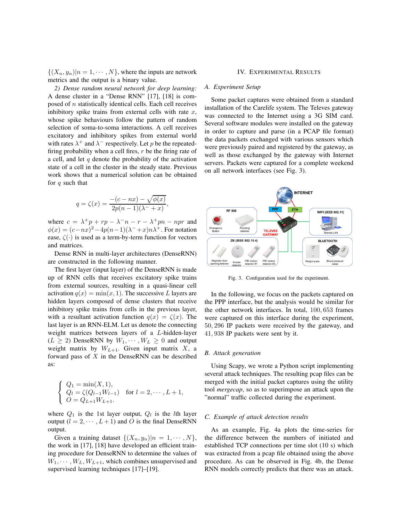$\{(X_n, y_n)|n = 1, \cdots, N\}$ , where the inputs are network metrics and the output is a binary value.

*2) Dense random neural network for deep learning:* A dense cluster in a "Dense RNN" [17], [18] is composed of  $n$  statistically identical cells. Each cell receives inhibitory spike trains from external cells with rate  $x$ , whose spike behaviours follow the pattern of random selection of soma-to-soma interactions. A cell receives excitatory and inhibitory spikes from external world with rates  $\lambda^+$  and  $\lambda^-$  respectively. Let p be the repeatedfiring probability when a cell fires,  $r$  be the firing rate of a cell, and let  $q$  denote the probability of the activation state of a cell in the cluster in the steady state. Previous work shows that a numerical solution can be obtained for  $q$  such that

$$
q = \zeta(x) = \frac{-(c - nx) - \sqrt{\phi(x)}}{2p(n-1)(\lambda - + x)},
$$

where  $c = \lambda^+ p + r p - \lambda^- n - r - \lambda^+ p n - n p r$  and  $\phi(x) = (c - nx)^2 - 4p(n-1)(\lambda^{-}+x)n\lambda^{+}$ . For notation ease,  $\zeta(\cdot)$  is used as a term-by-term function for vectors and matrices.

Dense RNN in multi-layer architectures (DenseRNN) are constructed in the following manner.

The first layer (input layer) of the DenseRNN is made up of RNN cells that receives excitatory spike trains from external sources, resulting in a quasi-linear cell activation  $q(x) = min(x, 1)$ . The successive L layers are hidden layers composed of dense clusters that receive inhibitory spike trains from cells in the previous layer, with a resultant activation function  $q(x) = \zeta(x)$ . The last layer is an RNN-ELM. Let us denote the connecting weight matrices between layers of a L-hidden-layer  $(L \geq 2)$  DenseRNN by  $W_1, \dots, W_L \geq 0$  and output weight matrix by  $W_{L+1}$ . Given input matrix X, a forward pass of  $X$  in the DenseRNN can be described as:

$$
\begin{cases} Q_1 = \min(X, 1), \\ Q_l = \zeta(Q_{l-1}W_{l-1}) \\ O = Q_{L+1}W_{L+1}. \end{cases} \text{ for } l = 2, \cdots, L+1,
$$

where  $Q_1$  is the 1st layer output,  $Q_l$  is the *l*th layer output ( $l = 2, \dots, L + 1$ ) and O is the final DenseRNN output.

Given a training dataset  $\{(X_n, y_n)|n = 1, \cdots, N\},\$ the work in [17], [18] have developed an efficient training procedure for DenseRNN to determine the values of  $W_1, \cdots, W_L, W_{L+1}$ , which combines unsupervised and supervised learning techniques [17]–[19].

#### IV. EXPERIMENTAL RESULTS

#### *A. Experiment Setup*

Some packet captures were obtained from a standard installation of the Carelife system. The Televes gateway was connected to the Internet using a 3G SIM card. Several software modules were installed on the gateway in order to capture and parse (in a PCAP file format) the data packets exchanged with various sensors which were previously paired and registered by the gateway, as well as those exchanged by the gateway with Internet servers. Packets were captured for a complete weekend on all network interfaces (see Fig. 3).



Fig. 3. Configuration used for the experiment.

In the following, we focus on the packets captured on the PPP interface, but the analysis would be similar for the other network interfaces. In total, 100, 653 frames were captured on this interface during the experiment, 50, 296 IP packets were received by the gateway, and 41, 938 IP packets were sent by it.

#### *B. Attack generation*

Using Scapy, we wrote a Python script implementing several attack techniques. The resulting pcap files can be merged with the initial packet captures using the utility tool *mergecap*, so as to superimpose an attack upon the "normal" traffic collected during the experiment.

#### *C. Example of attack detection results*

As an example, Fig. 4a plots the time-series for the difference between the numbers of initiated and established TCP connections per time slot (10 s) which was extracted from a pcap file obtained using the above procedure. As can be observed in Fig. 4b, the Dense RNN models correctly predicts that there was an attack.